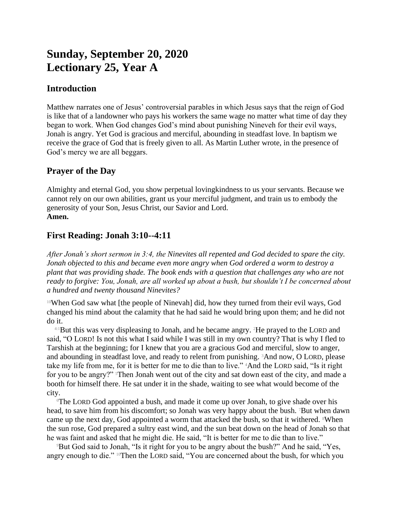# **Sunday, September 20, 2020 Lectionary 25, Year A**

### **Introduction**

Matthew narrates one of Jesus' controversial parables in which Jesus says that the reign of God is like that of a landowner who pays his workers the same wage no matter what time of day they began to work. When God changes God's mind about punishing Nineveh for their evil ways, Jonah is angry. Yet God is gracious and merciful, abounding in steadfast love. In baptism we receive the grace of God that is freely given to all. As Martin Luther wrote, in the presence of God's mercy we are all beggars.

## **Prayer of the Day**

Almighty and eternal God, you show perpetual lovingkindness to us your servants. Because we cannot rely on our own abilities, grant us your merciful judgment, and train us to embody the generosity of your Son, Jesus Christ, our Savior and Lord. **Amen.**

# **First Reading: Jonah 3:10--4:11**

*After Jonah's short sermon in 3:4, the Ninevites all repented and God decided to spare the city. Jonah objected to this and became even more angry when God ordered a worm to destroy a plant that was providing shade. The book ends with a question that challenges any who are not ready to forgive: You, Jonah, are all worked up about a bush, but shouldn't I be concerned about a hundred and twenty thousand Ninevites?*

<sup>10</sup>When God saw what [the people of Ninevah] did, how they turned from their evil ways, God changed his mind about the calamity that he had said he would bring upon them; and he did not do it.

 $4:1$ But this was very displeasing to Jonah, and he became angry. <sup>2</sup>He prayed to the LORD and said, "O LORD! Is not this what I said while I was still in my own country? That is why I fled to Tarshish at the beginning; for I knew that you are a gracious God and merciful, slow to anger, and abounding in steadfast love, and ready to relent from punishing. 3And now, O LORD, please take my life from me, for it is better for me to die than to live." 4And the LORD said, "Is it right for you to be angry?" Then Jonah went out of the city and sat down east of the city, and made a booth for himself there. He sat under it in the shade, waiting to see what would become of the city.

<sup>6</sup>The LORD God appointed a bush, and made it come up over Jonah, to give shade over his head, to save him from his discomfort; so Jonah was very happy about the bush. <sup>7</sup>But when dawn came up the next day, God appointed a worm that attacked the bush, so that it withered. <sup>8</sup>When the sun rose, God prepared a sultry east wind, and the sun beat down on the head of Jonah so that he was faint and asked that he might die. He said, "It is better for me to die than to live."

<sup>9</sup>But God said to Jonah, "Is it right for you to be angry about the bush?" And he said, "Yes, angry enough to die." <sup>10</sup>Then the LORD said, "You are concerned about the bush, for which you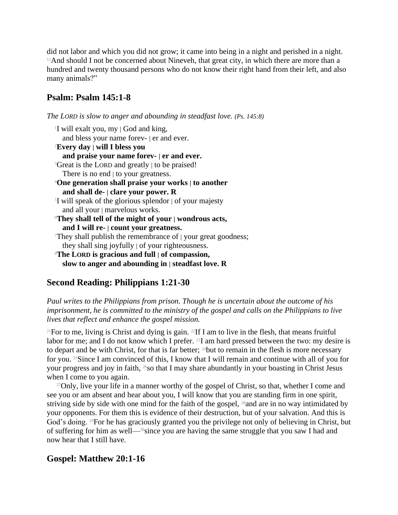did not labor and which you did not grow; it came into being in a night and perished in a night. <sup>11</sup>And should I not be concerned about Nineveh, that great city, in which there are more than a hundred and twenty thousand persons who do not know their right hand from their left, and also many animals?"

## **Psalm: Psalm 145:1-8**

*The LORD is slow to anger and abounding in steadfast love. (Ps. 145:8)*

### **Second Reading: Philippians 1:21-30**

*Paul writes to the Philippians from prison. Though he is uncertain about the outcome of his imprisonment, he is committed to the ministry of the gospel and calls on the Philippians to live lives that reflect and enhance the gospel mission.*

<sup>21</sup>For to me, living is Christ and dying is gain. <sup>22</sup>If I am to live in the flesh, that means fruitful labor for me; and I do not know which I prefer. <sup>23</sup>I am hard pressed between the two: my desire is to depart and be with Christ, for that is far better; <sup>24</sup>but to remain in the flesh is more necessary for you. 25Since I am convinced of this, I know that I will remain and continue with all of you for your progress and joy in faith, 26so that I may share abundantly in your boasting in Christ Jesus when I come to you again.

<sup>27</sup>Only, live your life in a manner worthy of the gospel of Christ, so that, whether I come and see you or am absent and hear about you, I will know that you are standing firm in one spirit, striving side by side with one mind for the faith of the gospel, <sup>28</sup> and are in no way intimidated by your opponents. For them this is evidence of their destruction, but of your salvation. And this is God's doing. 29For he has graciously granted you the privilege not only of believing in Christ, but of suffering for him as well—30since you are having the same struggle that you saw I had and now hear that I still have.

### **Gospel: Matthew 20:1-16**